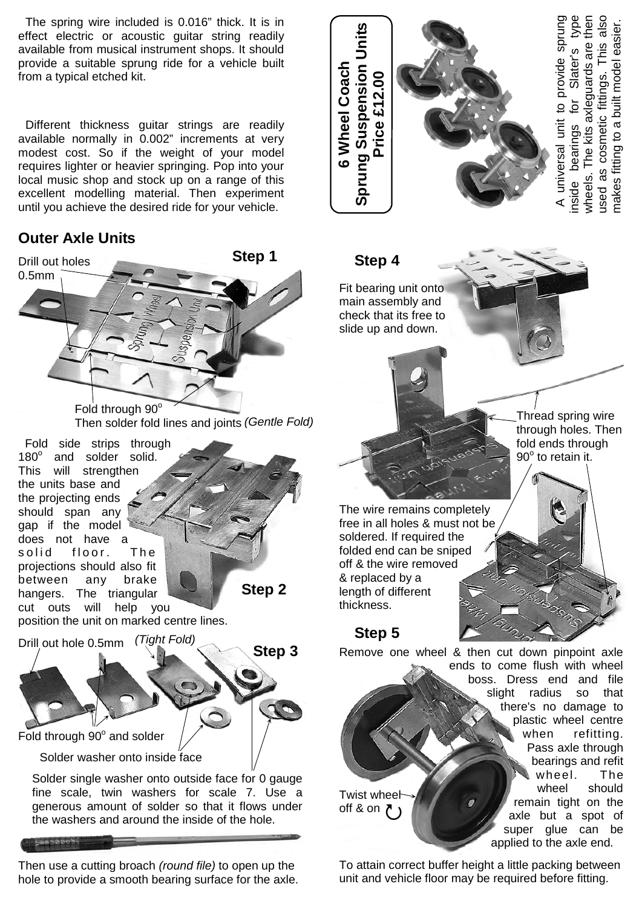The spring wire included is 0.016" thick. It is in effect electric or acoustic guitar string readily available from musical instrument shops. It should provide a suitable sprung ride for a vehicle built from a typical etched kit.

 Different thickness guitar strings are readily available normally in 0.002" increments at very modest cost. So if the weight of your model requires lighter or heavier springing. Pop into your local music shop and stock up on a range of this excellent modelling material. Then experiment until you achieve the desired ride for your vehicle.

## **Outer Axle Units**



Then use a cutting broach *(round file)* to open up the hole to provide a smooth bearing surface for the axle.